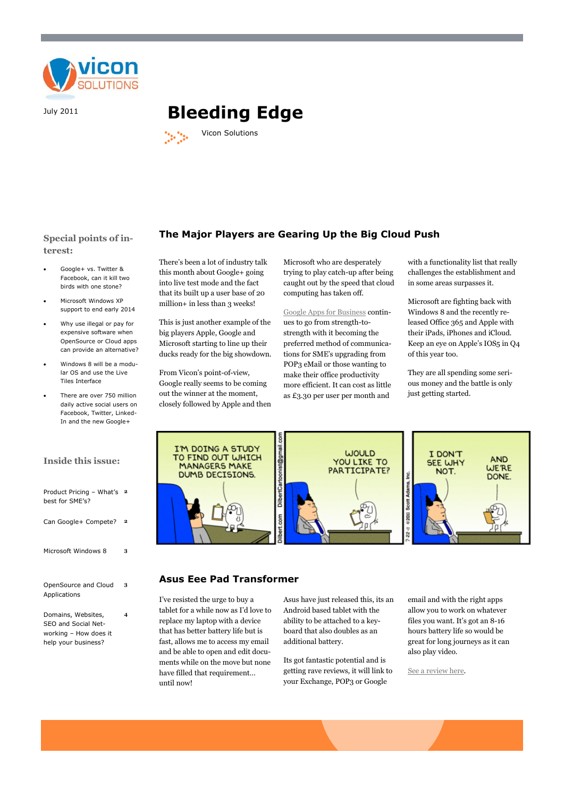

# July 2011 **Bleeding Edge**



## **Special points of interest:**

- Google+ vs. Twitter & Facebook, can it kill two birds with one stone?
- Microsoft Windows XP support to end early 2014
- Why use illegal or pay for expensive software when OpenSource or Cloud apps can provide an alternative?
- Windows 8 will be a modular OS and use the Live Tiles Interface
- There are over 750 million daily active social users on Facebook, Twitter, Linked-In and the new Google+

## **Inside this issue:**

| Product Pricing - What's<br>best for SME's?                                               | 2              |
|-------------------------------------------------------------------------------------------|----------------|
| Can Google+ Compete?                                                                      | $\overline{2}$ |
| Microsoft Windows 8                                                                       | 3              |
| OpenSource and Cloud<br>Applications                                                      | 3              |
| Domains, Websites,<br>SEO and Social Net-<br>working - How does it<br>help your business? | 4              |

There's been a lot of industry talk this month about Google+ going into live test mode and the fact that its built up a user base of 20 million+ in less than 3 weeks!

This is just another example of the big players Apple, Google and Microsoft starting to line up their ducks ready for the big showdown.

From Vicon's point-of-view, Google really seems to be coming out the winner at the moment, closely followed by Apple and then

Microsoft who are desperately trying to play catch-up after being caught out by the speed that cloud computing has taken off.

**The Major Players are Gearing Up the Big Cloud Push**

[Google Apps for Business](http://www.viconsolutions.co.uk/in-a-cloud/google-apps-for-business/) continues to go from strength-tostrength with it becoming the preferred method of communications for SME's upgrading from POP3 eMail or those wanting to make their office productivity more efficient. It can cost as little as £3.30 per user per month and

with a functionality list that really challenges the establishment and in some areas surpasses it.

Microsoft are fighting back with Windows 8 and the recently released Office 365 and Apple with their iPads, iPhones and iCloud. Keep an eye on Apple's IOS5 in Q4 of this year too.

They are all spending some serious money and the battle is only just getting started.



## **Asus Eee Pad Transformer**

I've resisted the urge to buy a tablet for a while now as I'd love to replace my laptop with a device that has better battery life but is fast, allows me to access my email and be able to open and edit documents while on the move but none have filled that requirement… until now!

Asus have just released this, its an Android based tablet with the ability to be attached to a keyboard that also doubles as an additional battery.

Its got fantastic potential and is getting rave reviews, it will link to your Exchange, POP3 or Google

email and with the right apps allow you to work on whatever files you want. It's got an 8-16 hours battery life so would be great for long journeys as it can also play video.

[See a review here.](http://www.trustedreviews.com/Asus-Eee-Pad-Transformer_Laptop_review)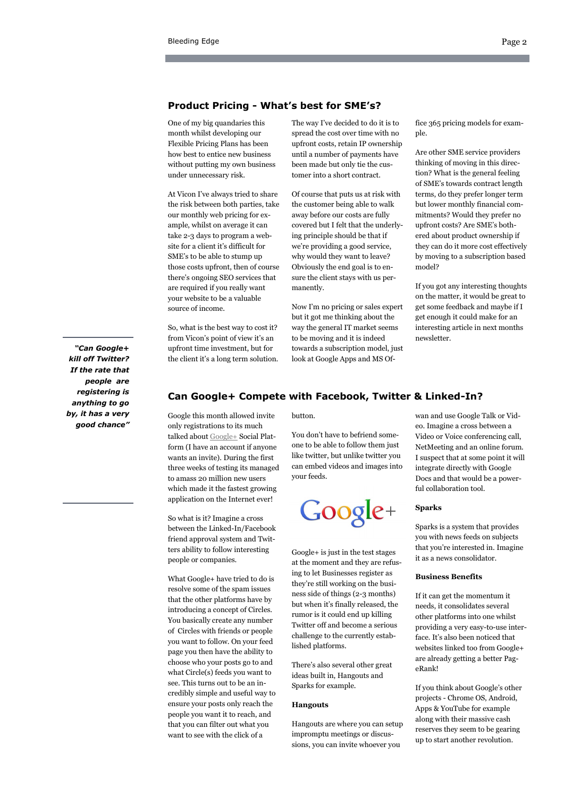## **Product Pricing - What's best for SME's?**

One of my big quandaries this month whilst developing our Flexible Pricing Plans has been how best to entice new business without putting my own business under unnecessary risk.

At Vicon I've always tried to share the risk between both parties, take our monthly web pricing for example, whilst on average it can take 2-3 days to program a website for a client it's difficult for SME's to be able to stump up those costs upfront, then of course there's ongoing SEO services that are required if you really want your website to be a valuable source of income.

So, what is the best way to cost it? from Vicon's point of view it's an upfront time investment, but for the client it's a long term solution. The way I've decided to do it is to spread the cost over time with no upfront costs, retain IP ownership until a number of payments have been made but only tie the customer into a short contract.

Of course that puts us at risk with the customer being able to walk away before our costs are fully covered but I felt that the underlying principle should be that if we're providing a good service, why would they want to leave? Obviously the end goal is to ensure the client stays with us permanently.

Now I'm no pricing or sales expert but it got me thinking about the way the general IT market seems to be moving and it is indeed towards a subscription model, just look at Google Apps and MS Of-

fice 365 pricing models for example.

Are other SME service providers thinking of moving in this direction? What is the general feeling of SME's towards contract length terms, do they prefer longer term but lower monthly financial commitments? Would they prefer no upfront costs? Are SME's bothered about product ownership if they can do it more cost effectively by moving to a subscription based model?

If you got any interesting thoughts on the matter, it would be great to get some feedback and maybe if I get enough it could make for an interesting article in next months newsletter.

*"Can Google+ kill off Twitter? If the rate that people are registering is anything to go by, it has a very good chance"*

## **Can Google+ Compete with Facebook, Twitter & Linked-In?**

Google this month allowed invite only registrations to its much talked about [Google+](http://www.google.com/intl/en/+/learnmore/index.html) Social Platform (I have an account if anyone wants an invite). During the first three weeks of testing its managed to amass 20 million new users which made it the fastest growing application on the Internet ever!

So what is it? Imagine a cross between the Linked-In/Facebook friend approval system and Twitters ability to follow interesting people or companies.

What Google+ have tried to do is resolve some of the spam issues that the other platforms have by introducing a concept of Circles. You basically create any number of Circles with friends or people you want to follow. On your feed page you then have the ability to choose who your posts go to and what Circle(s) feeds you want to see. This turns out to be an incredibly simple and useful way to ensure your posts only reach the people you want it to reach, and that you can filter out what you want to see with the click of a

button.

You don't have to befriend someone to be able to follow them just like twitter, but unlike twitter you can embed videos and images into your feeds.

Google+

Google+ is just in the test stages at the moment and they are refusing to let Businesses register as they're still working on the business side of things (2-3 months) but when it's finally released, the rumor is it could end up killing Twitter off and become a serious challenge to the currently established platforms.

There's also several other great ideas built in, Hangouts and Sparks for example.

#### **Hangouts**

Hangouts are where you can setup impromptu meetings or discussions, you can invite whoever you

wan and use Google Talk or Video. Imagine a cross between a Video or Voice conferencing call, NetMeeting and an online forum. I suspect that at some point it will integrate directly with Google Docs and that would be a powerful collaboration tool.

#### **Sparks**

Sparks is a system that provides you with news feeds on subjects that you're interested in. Imagine it as a news consolidator.

#### **Business Benefits**

If it can get the momentum it needs, it consolidates several other platforms into one whilst providing a very easy-to-use interface. It's also been noticed that websites linked too from Google+ are already getting a better PageRank!

If you think about Google's other projects - Chrome OS, Android, Apps & YouTube for example along with their massive cash reserves they seem to be gearing up to start another revolution.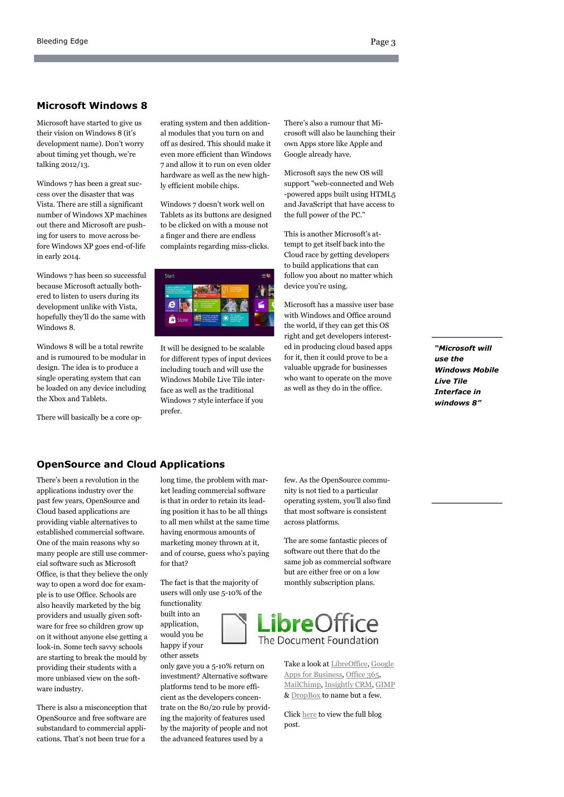## **Microsoft Windows 8**

Microsoft have started to give us their vision on Windows 8 (it's development name). Don't worry about timing yet though, we're talking 2012/13.

Windows 7 has been a great success over the disaster that was Vista. There are still a significant number of Windows XP machines out there and Microsoft are pushing for users to move across before Windows XP goes end-of-life in early 2014.

Windows 7 has been so successful because Microsoft actually bothered to listen to users during its development unlike with Vista, hopefully they'll do the same with Windows 8.

Windows 8 will be a total rewrite and is rumoured to be modular in design. The idea is to produce a single operating system that can be loaded on any device including the Xbox and Tablets.

There will basically be a core op-

erating system and then additional modules that you turn on and off as desired. This should make it even more efficient than Windows 7 and allow it to run on even older hardware as well as the new highly efficient mobile chips.

Windows 7 doesn't work well on Tablets as its buttons are designed to be clicked on with a mouse not a finger and there are endless complaints regarding miss-clicks.



It will be designed to be scalable for different types of input devices including touch and will use the Windows Mobile Live Tile interface as well as the traditional Windows 7 style interface if you prefer.

There's also a rumour that Microsoft will also be launching their own Apps store like Apple and Google already have.

Microsoft says the new OS will support "web-connected and Web -powered apps built using HTML5 and JavaScript that have access to the full power of the PC."

This is another Microsoft's attempt to get itself back into the Cloud race by getting developers to build applications that can follow you about no matter which device you're using.

Microsoft has a massive user base with Windows and Office around the world, if they can get this OS right and get developers interested in producing cloud based apps for it, then it could prove to be a valuable upgrade for businesses who want to operate on the move as well as they do in the office.

*"Microsoft will use the Windows Mobile Live Tile Interface in windows 8"*

## **OpenSource and Cloud Applications**

There's been a revolution in the applications industry over the past few years, OpenSource and Cloud based applications are providing viable alternatives to established commercial software. One of the main reasons why so many people are still use commercial software such as Microsoft Office, is that they believe the only way to open a word doc for example is to use Office. Schools are also heavily marketed by the big providers and usually given software for free so children grow up on it without anyone else getting a look-in. Some tech savvy schools are starting to break the mould by providing their students with a more unbiased view on the software industry.

There is also a misconception that OpenSource and free software are substandard to commercial applications. That's not been true for a

long time, the problem with market leading commercial software is that in order to retain its leading position it has to be all things to all men whilst at the same time having enormous amounts of marketing money thrown at it, and of course, guess who's paying for that?

The fact is that the majority of users will only use 5-10% of the functionality

built into an application, would you be happy if your other assets

only gave you a 5-10% return on investment? Alternative software platforms tend to be more efficient as the developers concentrate on the 80/20 rule by providing the majority of features used by the majority of people and not the advanced features used by a

few. As the OpenSource community is not tied to a particular operating system, you'll also find that most software is consistent across platforms.

The are some fantastic pieces of software out there that do the same job as commercial software but are either free or on a low monthly subscription plans.



Take a look at [LibreOffice,](http://www.libreoffice.org/) [Google](http://www.viconsolutions.co.uk/in-a-cloud/google-apps-for-business/)  [Apps for Business,](http://www.viconsolutions.co.uk/in-a-cloud/google-apps-for-business/) [Office 365,](http://www.viconsolutions.co.uk/in-a-cloud/microsoft-business-productivity/) [MailChimp,](http://mailchimp.com) [Insightly CRM,](http://insight.ly/) [GIMP](http://www.gimp.org/) & [DropBox](http://www.dropbox.com/) to name but a few.

Click [here](http://www.viconsolutions.co.uk/2011/07/opensource-cloud-software/) to view the full blog post.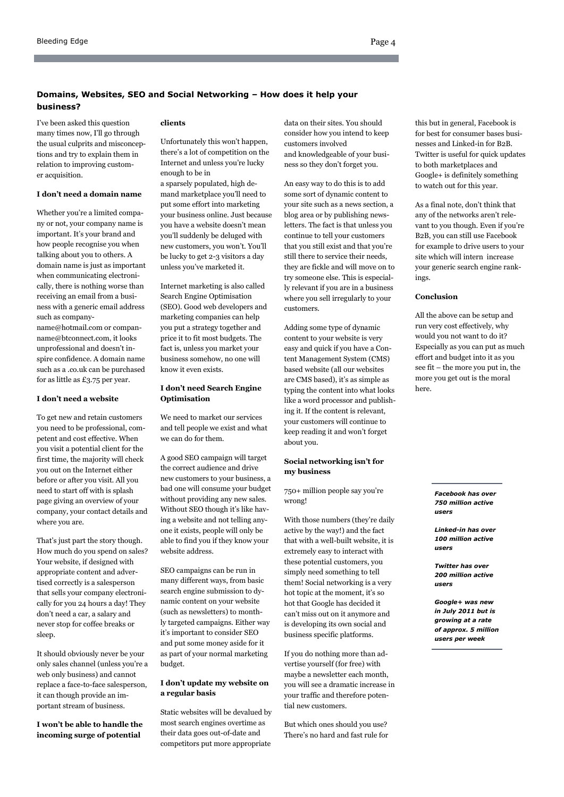## **Domains, Websites, SEO and Social Networking – How does it help your business?**

I've been asked this question many times now, I'll go through the usual culprits and misconceptions and try to explain them in relation to improving customer acquisition.

## **I don't need a domain name**

Whether you're a limited company or not, your company name is important. It's your brand and how people recognise you when talking about you to others. A domain name is just as important when communicating electronically, there is nothing worse than receiving an email from a business with a generic email address such as company-

name@hotmail.com or companname@btconnect.com, it looks unprofessional and doesn't inspire confidence. A domain name such as a .co.uk can be purchased for as little as £3.75 per year.

#### **I don't need a website**

To get new and retain customers you need to be professional, competent and cost effective. When you visit a potential client for the first time, the majority will check you out on the Internet either before or after you visit. All you need to start off with is splash page giving an overview of your company, your contact details and where you are.

That's just part the story though. How much do you spend on sales? Your website, if designed with appropriate content and advertised correctly is a salesperson that sells your company electronically for you 24 hours a day! They don't need a car, a salary and never stop for coffee breaks or sleep.

It should obviously never be your only sales channel (unless you're a web only business) and cannot replace a face-to-face salesperson, it can though provide an important stream of business.

**I won't be able to handle the incoming surge of potential** 

#### **clients**

Unfortunately this won't happen, there's a lot of competition on the Internet and unless you're lucky enough to be in

a sparsely populated, high demand marketplace you'll need to put some effort into marketing your business online. Just because you have a website doesn't mean you'll suddenly be deluged with new customers, you won't. You'll be lucky to get 2-3 visitors a day unless you've marketed it.

Internet marketing is also called Search Engine Optimisation (SEO). Good web developers and marketing companies can help you put a strategy together and price it to fit most budgets. The fact is, unless you market your business somehow, no one will know it even exists.

## **I don't need Search Engine Optimisation**

We need to market our services and tell people we exist and what we can do for them.

A good SEO campaign will target the correct audience and drive new customers to your business, a bad one will consume your budget without providing any new sales. Without SEO though it's like having a website and not telling anyone it exists, people will only be able to find you if they know your website address.

SEO campaigns can be run in many different ways, from basic search engine submission to dynamic content on your website (such as newsletters) to monthly targeted campaigns. Either way it's important to consider SEO and put some money aside for it as part of your normal marketing budget.

## **I don't update my website on a regular basis**

Static websites will be devalued by most search engines overtime as their data goes out-of-date and competitors put more appropriate

data on their sites. You should consider how you intend to keep customers involved and knowledgeable of your business so they don't forget you.

An easy way to do this is to add some sort of dynamic content to your site such as a news section, a blog area or by publishing newsletters. The fact is that unless you continue to tell your customers that you still exist and that you're still there to service their needs, they are fickle and will move on to try someone else. This is especially relevant if you are in a business where you sell irregularly to your customers.

Adding some type of dynamic content to your website is very easy and quick if you have a Content Management System (CMS) based website (all our websites are CMS based), it's as simple as typing the content into what looks like a word processor and publishing it. If the content is relevant, your customers will continue to keep reading it and won't forget about you.

#### **Social networking isn't for my business**

750+ million people say you're wrong!

With those numbers (they're daily active by the way!) and the fact that with a well-built website, it is extremely easy to interact with these potential customers, you simply need something to tell them! Social networking is a very hot topic at the moment, it's so hot that Google has decided it can't miss out on it anymore and is developing its own social and business specific platforms.

If you do nothing more than advertise yourself (for free) with maybe a newsletter each month, you will see a dramatic increase in your traffic and therefore potential new customers.

But which ones should you use? There's no hard and fast rule for

this but in general, Facebook is for best for consumer bases businesses and Linked-in for B2B. Twitter is useful for quick updates to both marketplaces and Google+ is definitely something to watch out for this year.

As a final note, don't think that any of the networks aren't relevant to you though. Even if you're B2B, you can still use Facebook for example to drive users to your site which will intern increase your generic search engine rankings.

#### **Conclusion**

All the above can be setup and run very cost effectively, why would you not want to do it? Especially as you can put as much effort and budget into it as you see fit – the more you put in, the more you get out is the moral here.

> *Facebook has over 750 million active users*

*Linked-in has over 100 million active users*

*Twitter has over 200 million active users*

*Google+ was new in July 2011 but is growing at a rate of approx. 5 million users per week*